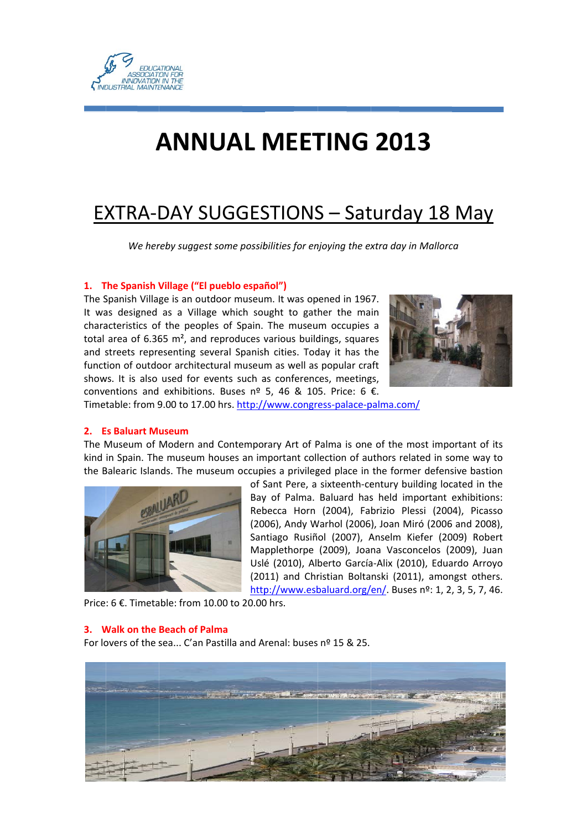

# **ANNUAL MEETING 2013**

# **EXTRA-DAY SUGGESTIONS - Saturday 18 May**

We hereby suggest some possibilities for enjoying the extra day in Mallorca

### 1. The Spanish Village ("El pueblo español")

The Spanish Village is an outdoor museum. It was opened in 1967. It was designed as a Village which sought to gather the main characteristics of the peoples of Spain. The museum occupies a total area of 6.365  $m^2$ , and reproduces various buildings, squares and streets representing several Spanish cities. Today it has the function of outdoor architectural museum as well as popular craft shows. It is also used for events such as conferences, meetings, conventions and exhibitions. Buses  $n^{\circ}$  5, 46 & 105. Price: 6 €.



Timetable: from 9.00 to 17.00 hrs. http://www.congress-palace-palma.com/

#### 2. Es Baluart Museum

The Museum of Modern and Contemporary Art of Palma is one of the most important of its kind in Spain. The museum houses an important collection of authors related in some way to the Balearic Islands. The museum occupies a privileged place in the former defensive bastion



of Sant Pere, a sixteenth-century building located in the Bay of Palma. Baluard has held important exhibitions: Rebecca Horn (2004), Fabrizio Plessi (2004), Picasso (2006). Andy Warhol (2006). Joan Miró (2006 and 2008). Santiago Rusiñol (2007), Anselm Kiefer (2009) Robert Mapplethorpe (2009), Joana Vasconcelos (2009), Juan Uslé (2010), Alberto García-Alix (2010), Eduardo Arroyo (2011) and Christian Boltanski (2011), amongst others. http://www.esbaluard.org/en/. Buses nº: 1, 2, 3, 5, 7, 46.

Price: 6 €. Timetable: from 10.00 to 20.00 hrs.

#### 3. Walk on the Beach of Palma

For lovers of the sea... C'an Pastilla and Arenal: buses nº 15 & 25.